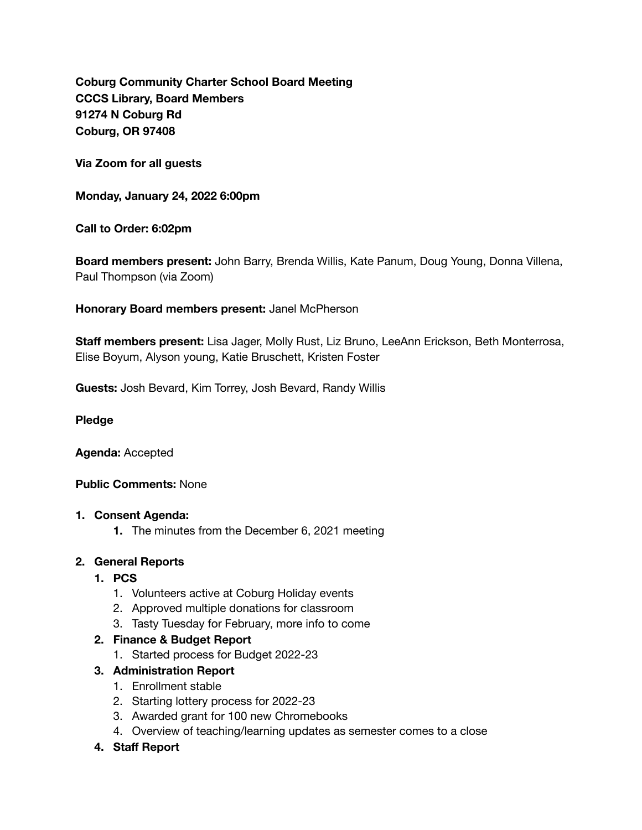**Coburg Community Charter School Board Meeting CCCS Library, Board Members 91274 N Coburg Rd Coburg, OR 97408** 

**Via Zoom for all guests** 

**Monday, January 24, 2022 6:00pm** 

**Call to Order: 6:02pm** 

**Board members present:** John Barry, Brenda Willis, Kate Panum, Doug Young, Donna Villena, Paul Thompson (via Zoom)

**Honorary Board members present:** Janel McPherson

**Staff members present:** Lisa Jager, Molly Rust, Liz Bruno, LeeAnn Erickson, Beth Monterrosa, Elise Boyum, Alyson young, Katie Bruschett, Kristen Foster

**Guests:** Josh Bevard, Kim Torrey, Josh Bevard, Randy Willis

#### **Pledge**

**Agenda:** Accepted

### **Public Comments:** None

#### **1. Consent Agenda:**

**1.** The minutes from the December 6, 2021 meeting

### **2. General Reports**

- **1. PCS** 
	- 1. Volunteers active at Coburg Holiday events
	- 2. Approved multiple donations for classroom
	- 3. Tasty Tuesday for February, more info to come

### **2. Finance & Budget Report**

- 1. Started process for Budget 2022-23
- **3. Administration Report** 
	- 1. Enrollment stable
	- 2. Starting lottery process for 2022-23
	- 3. Awarded grant for 100 new Chromebooks
	- 4. Overview of teaching/learning updates as semester comes to a close
- **4. Staff Report**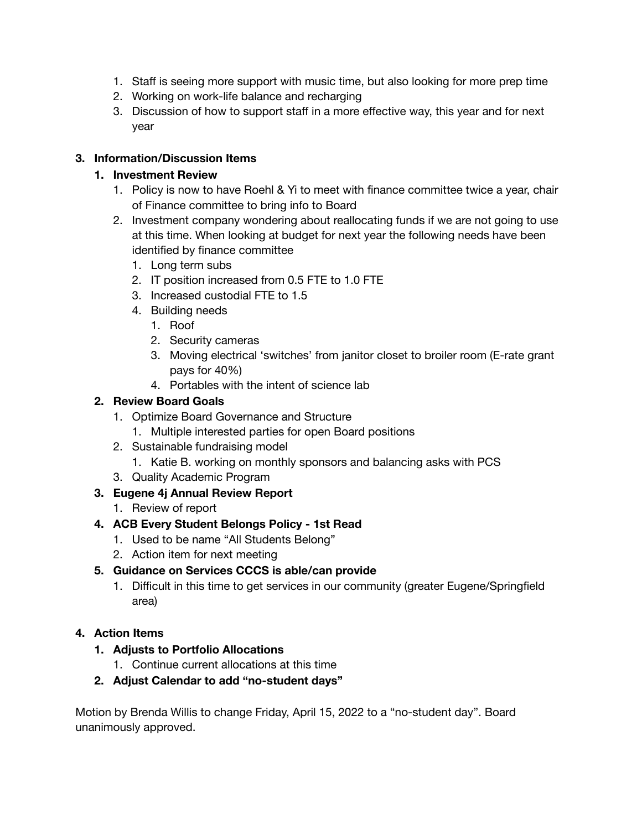- 1. Staff is seeing more support with music time, but also looking for more prep time
- 2. Working on work-life balance and recharging
- 3. Discussion of how to support staff in a more effective way, this year and for next year

### **3. Information/Discussion Items**

### **1. Investment Review**

- 1. Policy is now to have Roehl & Yi to meet with finance committee twice a year, chair of Finance committee to bring info to Board
- 2. Investment company wondering about reallocating funds if we are not going to use at this time. When looking at budget for next year the following needs have been identified by finance committee
	- 1. Long term subs
	- 2. IT position increased from 0.5 FTE to 1.0 FTE
	- 3. Increased custodial FTE to 1.5
	- 4. Building needs
		- 1. Roof
		- 2. Security cameras
		- 3. Moving electrical 'switches' from janitor closet to broiler room (E-rate grant pays for 40%)
		- 4. Portables with the intent of science lab

## **2. Review Board Goals**

- 1. Optimize Board Governance and Structure
	- 1. Multiple interested parties for open Board positions
- 2. Sustainable fundraising model
	- 1. Katie B. working on monthly sponsors and balancing asks with PCS
- 3. Quality Academic Program

# **3. Eugene 4j Annual Review Report**

1. Review of report

### **4. ACB Every Student Belongs Policy - 1st Read**

- 1. Used to be name "All Students Belong"
- 2. Action item for next meeting

# **5. Guidance on Services CCCS is able/can provide**

1. Difficult in this time to get services in our community (greater Eugene/Springfield area)

### **4. Action Items**

- **1. Adjusts to Portfolio Allocations** 
	- 1. Continue current allocations at this time

### **2. Adjust Calendar to add "no-student days"**

Motion by Brenda Willis to change Friday, April 15, 2022 to a "no-student day". Board unanimously approved.